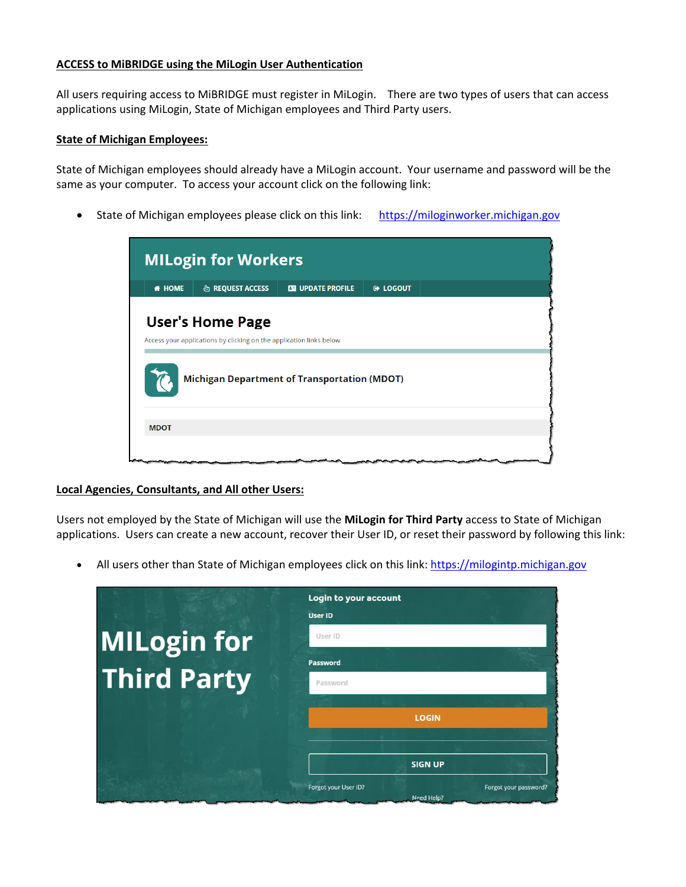## **ACCESS to MiBRIDGE using the MiLogin User Authentication**

All users requiring access to MiBRIDGE must register in MiLogin. There are two types of users that can access applications using MiLogin, State of Michigan employees and Third Party users.

## **State of Michigan Employees:**

State of Michigan employees should already have a MiLogin account. Your username and password will be the same as your computer. To access your account click on the following link:

• State of Michigan employees please click on this link: https://miloginworker.michigan.gov

| <b>MILogin for Workers</b>                                                                                                                            |                             |                          |                     |  |  |
|-------------------------------------------------------------------------------------------------------------------------------------------------------|-----------------------------|--------------------------|---------------------|--|--|
| <b># HOME</b>                                                                                                                                         | <b>&amp; REQUEST ACCESS</b> | <b>ES UPDATE PROFILE</b> | <b>E&gt; LOGOUT</b> |  |  |
| <b>User's Home Page</b><br>Access your applications by clicking on the application links below<br><b>Michigan Department of Transportation (MDOT)</b> |                             |                          |                     |  |  |
| <b>MDOT</b>                                                                                                                                           |                             |                          |                     |  |  |
|                                                                                                                                                       |                             |                          |                     |  |  |

## **Local Agencies, Consultants, and All other Users:**

Users not employed by the State of Michigan will use the **MiLogin for Third Party** access to State of Michigan applications. Users can create a new account, recover their User ID, or reset their password by following this link:

• All users other than State of Michigan employees click on this link: [https://milogintp.michigan.gov](https://milogintp.michigan.gov/)

|                    | Login to your account<br><b>User ID</b>                     |
|--------------------|-------------------------------------------------------------|
| <b>MILogin for</b> | User ID                                                     |
|                    | <b>Password</b>                                             |
| <b>Third Party</b> | Password                                                    |
|                    | <b>LOGIN</b>                                                |
|                    | <b>SIGN UP</b>                                              |
|                    | Forgot your User ID?<br>Forgot your password?<br>Need Help? |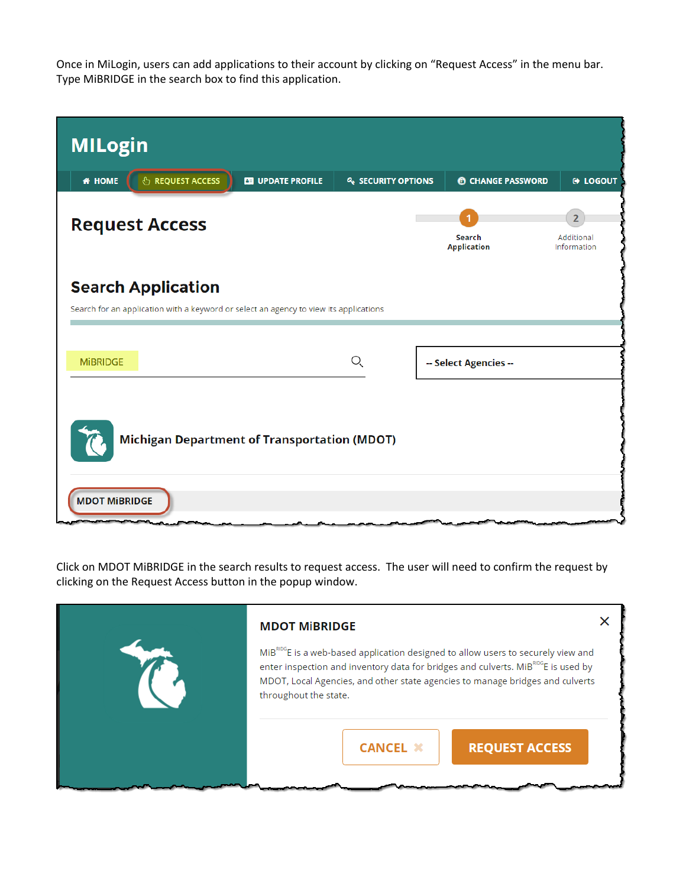Once in MiLogin, users can add applications to their account by clicking on "Request Access" in the menu bar. Type MiBRIDGE in the search box to find this application.

| <b>MILogin</b>                                                                        |                          |                           |                                     |                                             |  |  |
|---------------------------------------------------------------------------------------|--------------------------|---------------------------|-------------------------------------|---------------------------------------------|--|--|
| <b><i>S</i></b> REQUEST ACCESS<br><b>* HOME</b>                                       | <b>ES UPDATE PROFILE</b> | <b>4 SECURITY OPTIONS</b> | <b><sup>6</sup></b> CHANGE PASSWORD | <b>E</b> LOGOUT                             |  |  |
| <b>Request Access</b>                                                                 |                          |                           | Search<br><b>Application</b>        | $\overline{2}$<br>Additional<br>Information |  |  |
| <b>Search Application</b>                                                             |                          |                           |                                     |                                             |  |  |
| Search for an application with a keyword or select an agency to view its applications |                          |                           |                                     |                                             |  |  |
|                                                                                       |                          |                           |                                     |                                             |  |  |
| <b>MIBRIDGE</b>                                                                       |                          | O,                        | -- Select Agencies --               |                                             |  |  |
| <b>Michigan Department of Transportation (MDOT)</b>                                   |                          |                           |                                     |                                             |  |  |
| <b>MDOT MIBRIDGE</b>                                                                  |                          |                           |                                     |                                             |  |  |

Click on MDOT MiBRIDGE in the search results to request access. The user will need to confirm the request by clicking on the Request Access button in the popup window.

| <b>MDOT MIBRIDGE</b><br>MiB <sup>RIDG</sup> E is a web-based application designed to allow users to securely view and<br>enter inspection and inventory data for bridges and culverts. MiB <sup>RDG</sup> E is used by<br>MDOT, Local Agencies, and other state agencies to manage bridges and culverts |  |
|---------------------------------------------------------------------------------------------------------------------------------------------------------------------------------------------------------------------------------------------------------------------------------------------------------|--|
| throughout the state.<br><b>REQUEST ACCESS</b><br><b>CANCEL X</b>                                                                                                                                                                                                                                       |  |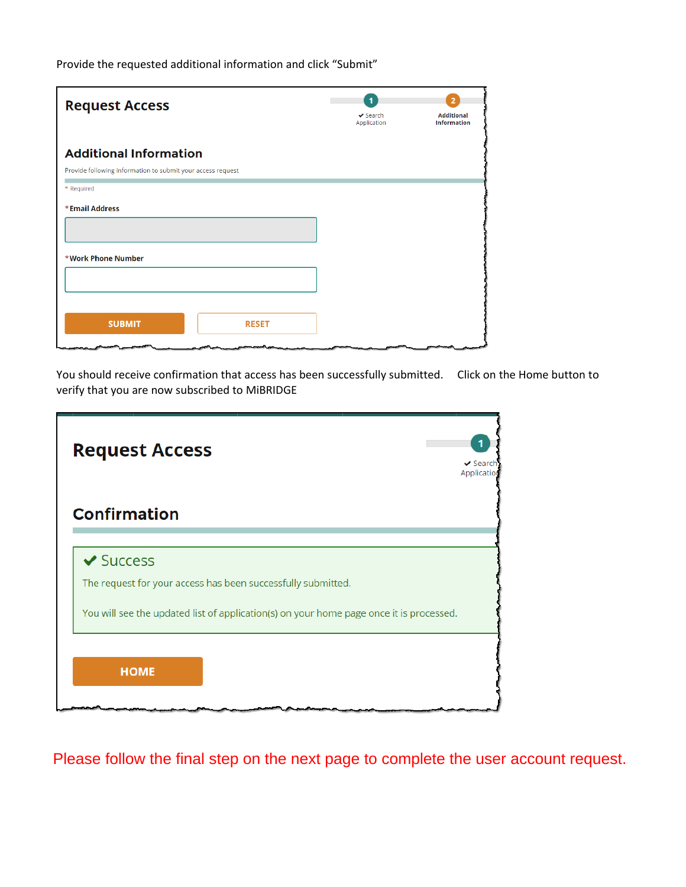Provide the requested additional information and click "Submit"

| <b>Request Access</b>                                       | $\mathbf{1}$<br>$\vee$ Search<br>Application | $\overline{2}$<br><b>Additional</b><br><b>Information</b> |
|-------------------------------------------------------------|----------------------------------------------|-----------------------------------------------------------|
| <b>Additional Information</b>                               |                                              |                                                           |
| Provide following information to submit your access request |                                              |                                                           |
| * Required                                                  |                                              |                                                           |
| *Email Address                                              |                                              |                                                           |
|                                                             |                                              |                                                           |
| *Work Phone Number                                          |                                              |                                                           |
| <b>SUBMIT</b><br><b>RESET</b>                               |                                              |                                                           |

You should receive confirmation that access has been successfully submitted. Click on the Home button to verify that you are now subscribed to MiBRIDGE

| <b>Request Access</b>                                                                   | $\vee$ Search<br>Applicatio |
|-----------------------------------------------------------------------------------------|-----------------------------|
| <b>Confirmation</b>                                                                     |                             |
| $\vee$ Success                                                                          |                             |
| The request for your access has been successfully submitted.                            |                             |
| You will see the updated list of application(s) on your home page once it is processed. |                             |
|                                                                                         |                             |
| <b>HOME</b>                                                                             |                             |
|                                                                                         |                             |

Please follow the final step on the next page to complete the user account request.